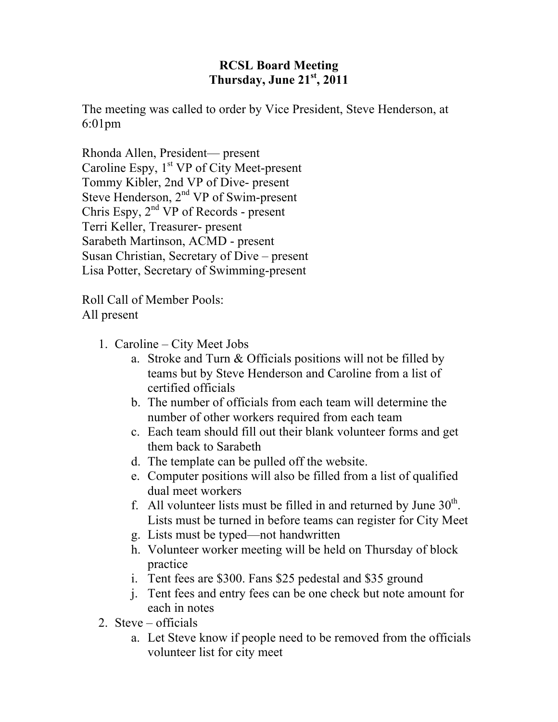## **RCSL Board Meeting Thursday, June 21st, 2011**

The meeting was called to order by Vice President, Steve Henderson, at 6:01pm

Rhonda Allen, President— present Caroline Espy,  $1<sup>st</sup> VP$  of City Meet-present Tommy Kibler, 2nd VP of Dive- present Steve Henderson,  $2<sup>nd</sup> VP$  of Swim-present Chris Espy,  $2<sup>nd</sup> VP$  of Records - present Terri Keller, Treasurer- present Sarabeth Martinson, ACMD - present Susan Christian, Secretary of Dive – present Lisa Potter, Secretary of Swimming-present

Roll Call of Member Pools: All present

- 1. Caroline City Meet Jobs
	- a. Stroke and Turn & Officials positions will not be filled by teams but by Steve Henderson and Caroline from a list of certified officials
	- b. The number of officials from each team will determine the number of other workers required from each team
	- c. Each team should fill out their blank volunteer forms and get them back to Sarabeth
	- d. The template can be pulled off the website.
	- e. Computer positions will also be filled from a list of qualified dual meet workers
	- f. All volunteer lists must be filled in and returned by June  $30<sup>th</sup>$ . Lists must be turned in before teams can register for City Meet
	- g. Lists must be typed—not handwritten
	- h. Volunteer worker meeting will be held on Thursday of block practice
	- i. Tent fees are \$300. Fans \$25 pedestal and \$35 ground
	- j. Tent fees and entry fees can be one check but note amount for each in notes
- 2. Steve officials
	- a. Let Steve know if people need to be removed from the officials volunteer list for city meet